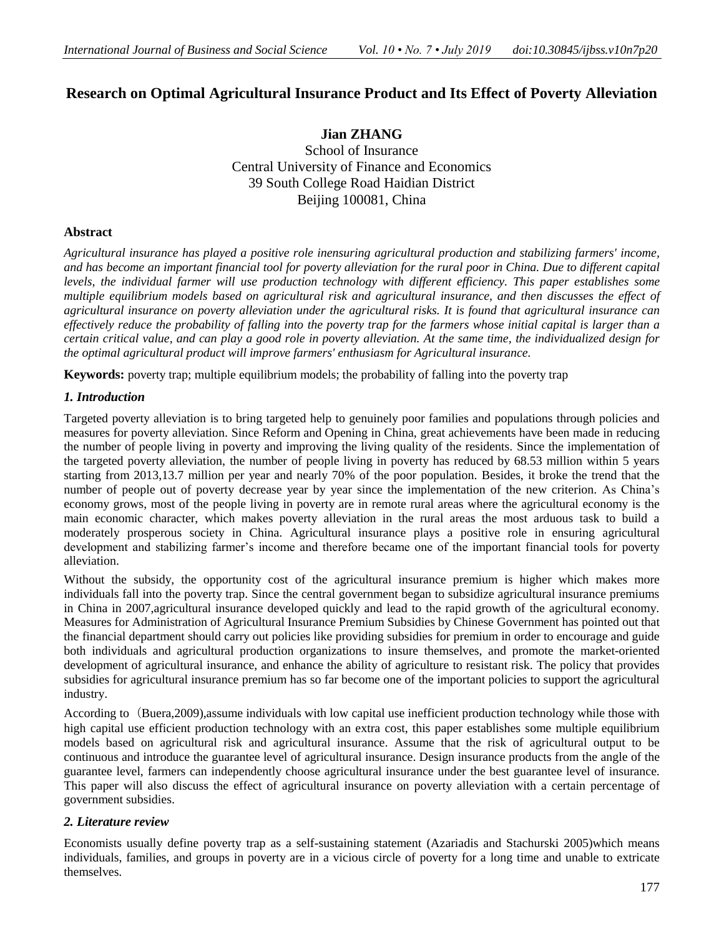# **Research on Optimal Agricultural Insurance Product and Its Effect of Poverty Alleviation**

**Jian ZHANG** School of Insurance Central University of Finance and Economics 39 South College Road Haidian District Beijing 100081, China

# **Abstract**

*Agricultural insurance has played a positive role inensuring agricultural production and stabilizing farmers' income, and has become an important financial tool for poverty alleviation for the rural poor in China. Due to different capital levels, the individual farmer will use production technology with different efficiency. This paper establishes some multiple equilibrium models based on agricultural risk and agricultural insurance, and then discusses the effect of agricultural insurance on poverty alleviation under the agricultural risks. It is found that agricultural insurance can effectively reduce the probability of falling into the poverty trap for the farmers whose initial capital is larger than a certain critical value, and can play a good role in poverty alleviation. At the same time, the individualized design for the optimal agricultural product will improve farmers' enthusiasm for Agricultural insurance.*

**Keywords:** poverty trap; multiple equilibrium models; the probability of falling into the poverty trap

# *1. Introduction*

Targeted poverty alleviation is to bring targeted help to genuinely poor families and populations through policies and measures for poverty alleviation. Since Reform and Opening in China, great achievements have been made in reducing the number of people living in poverty and improving the living quality of the residents. Since the implementation of the targeted poverty alleviation, the number of people living in poverty has reduced by 68.53 million within 5 years starting from 2013,13.7 million per year and nearly 70% of the poor population. Besides, it broke the trend that the number of people out of poverty decrease year by year since the implementation of the new criterion. As China's economy grows, most of the people living in poverty are in remote rural areas where the agricultural economy is the main economic character, which makes poverty alleviation in the rural areas the most arduous task to build a moderately prosperous society in China. Agricultural insurance plays a positive role in ensuring agricultural development and stabilizing farmer's income and therefore became one of the important financial tools for poverty alleviation.

Without the subsidy, the opportunity cost of the agricultural insurance premium is higher which makes more individuals fall into the poverty trap. Since the central government began to subsidize agricultural insurance premiums in China in 2007,agricultural insurance developed quickly and lead to the rapid growth of the agricultural economy. Measures for Administration of Agricultural Insurance Premium Subsidies by Chinese Government has pointed out that the financial department should carry out policies like providing subsidies for premium in order to encourage and guide both individuals and agricultural production organizations to insure themselves, and promote the market-oriented development of agricultural insurance, and enhance the ability of agriculture to resistant risk. The policy that provides subsidies for agricultural insurance premium has so far become one of the important policies to support the agricultural industry.

According to (Buera,2009), assume individuals with low capital use inefficient production technology while those with high capital use efficient production technology with an extra cost, this paper establishes some multiple equilibrium models based on agricultural risk and agricultural insurance. Assume that the risk of agricultural output to be continuous and introduce the guarantee level of agricultural insurance. Design insurance products from the angle of the guarantee level, farmers can independently choose agricultural insurance under the best guarantee level of insurance. This paper will also discuss the effect of agricultural insurance on poverty alleviation with a certain percentage of government subsidies.

# *2. Literature review*

Economists usually define poverty trap as a self-sustaining statement (Azariadis and Stachurski 2005)which means individuals, families, and groups in poverty are in a vicious circle of poverty for a long time and unable to extricate themselves.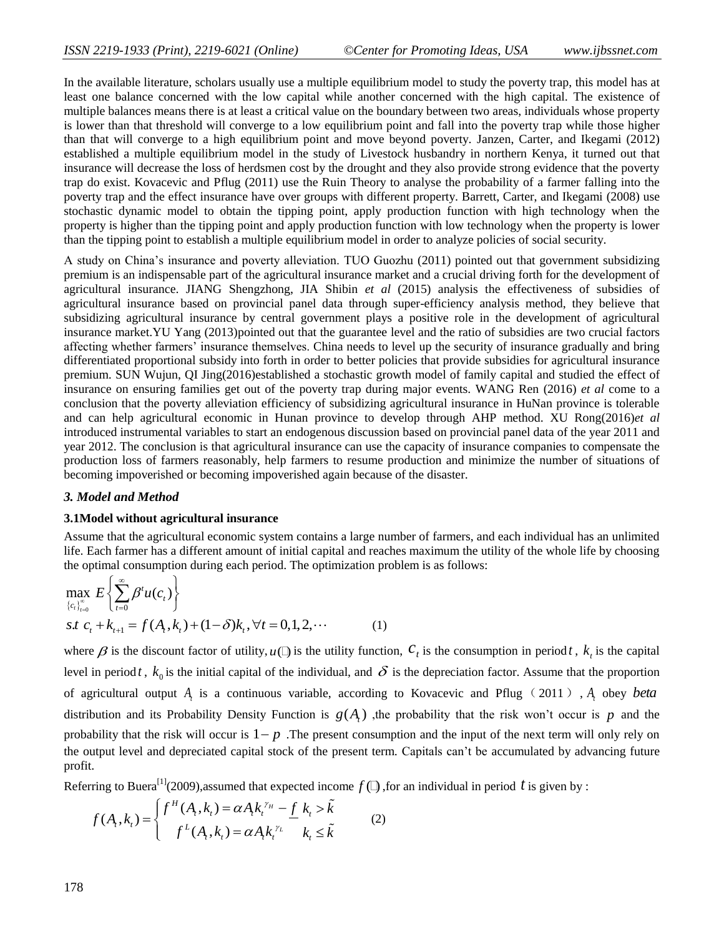In the available literature, scholars usually use a multiple equilibrium model to study the poverty trap, this model has at least one balance concerned with the low capital while another concerned with the high capital. The existence of multiple balances means there is at least a critical value on the boundary between two areas, individuals whose property is lower than that threshold will converge to a low equilibrium point and fall into the poverty trap while those higher than that will converge to a high equilibrium point and move beyond poverty. Janzen, Carter, and Ikegami (2012) established a multiple equilibrium model in the study of Livestock husbandry in northern Kenya, it turned out that insurance will decrease the loss of herdsmen cost by the drought and they also provide strong evidence that the poverty trap do exist. Kovacevic and Pflug (2011) use the Ruin Theory to analyse the probability of a farmer falling into the poverty trap and the effect insurance have over groups with different property. Barrett, Carter, and Ikegami (2008) use stochastic dynamic model to obtain the tipping point, apply production function with high technology when the property is higher than the tipping point and apply production function with low technology when the property is lower than the tipping point to establish a multiple equilibrium model in order to analyze policies of social security.

A study on China's insurance and poverty alleviation. TUO Guozhu (2011) pointed out that government subsidizing premium is an indispensable part of the agricultural insurance market and a crucial driving forth for the development of agricultural insurance. JIANG Shengzhong, JIA Shibin *et al* (2015) analysis the effectiveness of subsidies of agricultural insurance based on provincial panel data through super-efficiency analysis method, they believe that subsidizing agricultural insurance by central government plays a positive role in the development of agricultural insurance market.YU Yang (2013)pointed out that the guarantee level and the ratio of subsidies are two crucial factors affecting whether farmers' insurance themselves. China needs to level up the security of insurance gradually and bring differentiated proportional subsidy into forth in order to better policies that provide subsidies for agricultural insurance premium. SUN Wujun, QI Jing(2016)established a stochastic growth model of family capital and studied the effect of insurance on ensuring families get out of the poverty trap during major events. WANG Ren (2016) *et al* come to a conclusion that the poverty alleviation efficiency of subsidizing agricultural insurance in HuNan province is tolerable and can help agricultural economic in Hunan province to develop through AHP method. XU Rong(2016)*et al* introduced instrumental variables to start an endogenous discussion based on provincial panel data of the year 2011 and year 2012. The conclusion is that agricultural insurance can use the capacity of insurance companies to compensate the production loss of farmers reasonably, help farmers to resume production and minimize the number of situations of becoming impoverished or becoming impoverished again because of the disaster.

### *3. Model and Method*

#### **3.1Model without agricultural insurance**

Assume that the agricultural economic system contains a large number of farmers, and each individual has an unlimited life. Each farmer has a different amount of initial capital and reaches maximum the utility of the whole life by choosing the optimal consumption during each period. The optimization problem is as follows:

$$
\max_{\{c_i\}_{i=0}^{\infty}} E\left\{\sum_{t=0}^{\infty} \beta^t u(c_t)\right\}
$$
  
s.t  $c_t + k_{t+1} = f(A_t, k_t) + (1 - \delta)k_t, \forall t = 0, 1, 2, \cdots$  (1)

where  $\beta$  is the discount factor of utility,  $u(\beta)$  is the utility function,  $c_t$  is the consumption in period t,  $k_t$  is the capital level in period *t*,  $k_0$  is the initial capital of the individual, and  $\delta$  is the depreciation factor. Assume that the proportion of agricultural output *At* is a continuous variable, according to Kovacevic and Pflug(2011), *A<sup>t</sup>* obey *beta* distribution and its Probability Density Function is  $g(A<sub>t</sub>)$ , the probability that the risk won't occur is p and the probability that the risk will occur is  $1-p$ . The present consumption and the input of the next term will only rely on the output level and depreciated capital stock of the present term. Capitals can't be accumulated by advancing future profit.

Referring to Buera<sup>[1]</sup>(2009),assumed that expected income  $f(\square)$ , for an individual in period t is given by :<br>  $f(A \mid k) = \int f^H(A_t, k_t) = \alpha A_t k_t^{\gamma_H} - \underline{f}(k_t > \tilde{k})$ 

$$
f(A_t, k_t) = \begin{cases} f^{H}(A_t, k_t) = \alpha A_t k_t^{\gamma_H} - \underline{f} \ k_t > \tilde{k} \\ f^{L}(A_t, k_t) = \alpha A_t k_t^{\gamma_L} & k_t \le \tilde{k} \end{cases}
$$
 (2)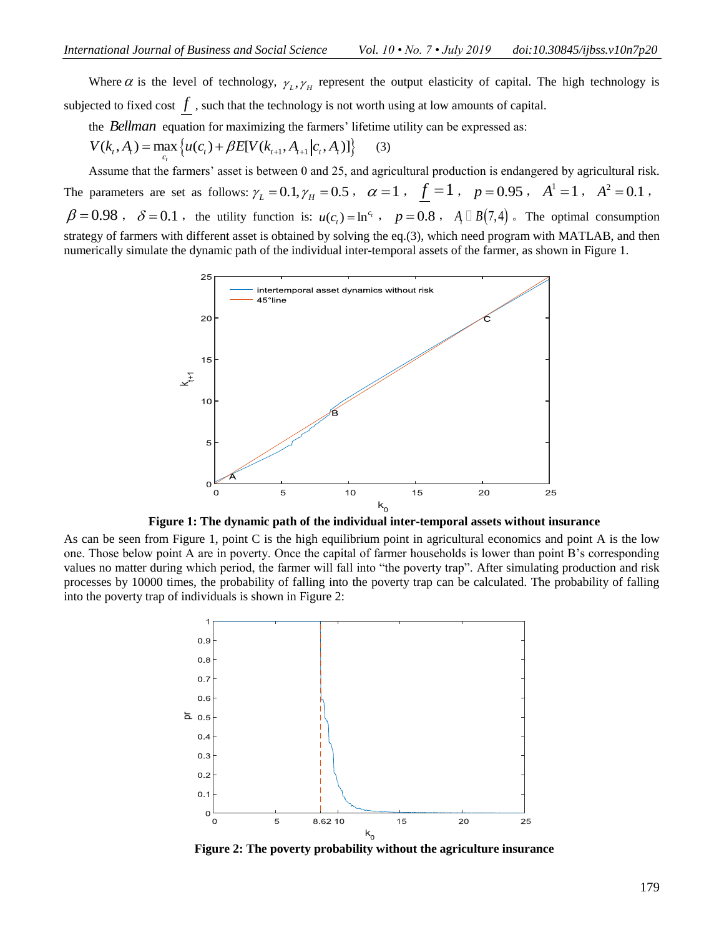Where  $\alpha$  is the level of technology,  $\gamma_L, \gamma_H$  represent the output elasticity of capital. The high technology is subjected to fixed cost  $f$  , such that the technology is not worth using at low amounts of capital.

the *Bellman* equation for maximizing the farmers' lifetime utility can be expressed as:<br>  $V(k_i, A_i) = \max_{c_i} \{ u(c_i) + \beta E[V(k_{i+1}, A_{i+1} | c_i, A_i)] \}$  (3)

$$
V(k_t, A_t) = \max_{c_t} \left\{ u(c_t) + \beta E[V(k_{t+1}, A_{t+1} | c_t, A_t)] \right\}
$$
 (3)

Assume that the farmers' asset is between 0 and 25, and agricultural production is endangered by agricultural risk.

The parameters are set as follows:  $\gamma_L = 0.1, \gamma_H = 0.5$ ,  $\alpha = 1$ ,  $\underline{f} = 1$ ,  $p = 0.95$ ,  $A^1 = 1$ ,  $A^2 = 0.1$ ,  $\beta = 0.98$ ,  $\delta = 0.1$ , the utility function is:  $u(c_t) = \ln^{c_t}$ ,  $p = 0.8$ ,  $A_t \Box B(7,4)$ . The optimal consumption strategy of farmers with different asset is obtained by solving the eq.(3), which need program with MATLAB, and then numerically simulate the dynamic path of the individual inter-temporal assets of the farmer, as shown in Figure 1.



**Figure 1: The dynamic path of the individual inter-temporal assets without insurance**

As can be seen from Figure 1, point C is the high equilibrium point in agricultural economics and point A is the low one. Those below point A are in poverty. Once the capital of farmer households is lower than point B's corresponding values no matter during which period, the farmer will fall into "the poverty trap". After simulating production and risk processes by 10000 times, the probability of falling into the poverty trap can be calculated. The probability of falling into the poverty trap of individuals is shown in Figure 2:



**Figure 2: The poverty probability without the agriculture insurance**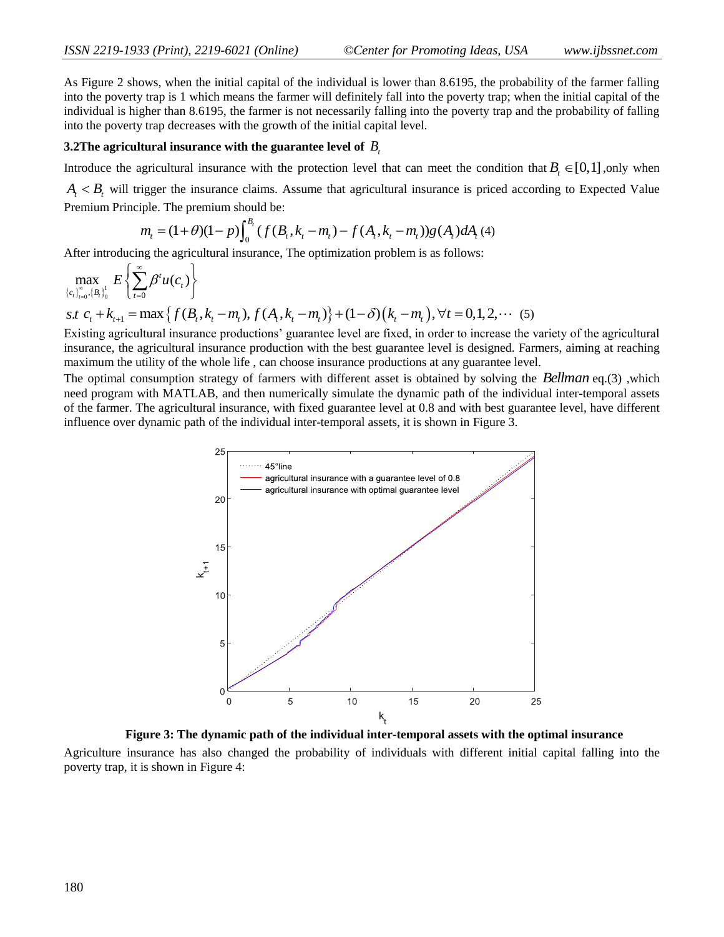As Figure 2 shows, when the initial capital of the individual is lower than 8.6195, the probability of the farmer falling into the poverty trap is 1 which means the farmer will definitely fall into the poverty trap; when the initial capital of the individual is higher than 8.6195, the farmer is not necessarily falling into the poverty trap and the probability of falling into the poverty trap decreases with the growth of the initial capital level.

## $\bf 3.2$  The agricultural insurance with the guarantee level of  $\,B_{t}$

Introduce the agricultural insurance with the protection level that can meet the condition that  $B_t \in [0,1]$ , only when

 $A_t < B_t$  will trigger the insurance claims. Assume that agricultural insurance is priced according to Expected Value<br>Premium Principle. The premium should be:<br> $m_t = (1+\theta)(1-p)\int_0^{B_t} (f(B_t, k_t - m_t) - f(A_t, k_t - m_t))g(A_t) dA_t$  (4) Premium Principle. The premium should be:

$$
n_{t} = (1+\theta)(1-p)\int_{0}^{B_{t}} (f(B_{t}, k_{t}-m_{t}) - f(A_{t}, k_{t}-m_{t}))g(A_{t})dA_{t}(4)
$$

After introducing the agricultural insurance, The optimization problem is as follows:

$$
\max_{\{c_i\}_{i=0}^{\infty}, \{B_i\}_0} E\left\{\sum_{t=0}^{\infty} \beta^t u(c_t)\right\}
$$
\n
$$
s.t. c_t + k_{t+1} = \max\left\{f(B_t, k_t - m_t), f(A_t, k_t - m_t)\right\} + (1 - \delta)(k_t - m_t), \forall t = 0, 1, 2, \cdots (5)
$$
\nEquation equation is given by the equation of the equation of the equation is given by the equation of the equation.

Existing agricultural insurance productions' guarantee level are fixed, in order to increase the variety of the agricultural insurance, the agricultural insurance production with the best guarantee level is designed. Farmers, aiming at reaching maximum the utility of the whole life , can choose insurance productions at any guarantee level.

The optimal consumption strategy of farmers with different asset is obtained by solving the *Bellman* eq.(3) ,which need program with MATLAB, and then numerically simulate the dynamic path of the individual inter-temporal assets of the farmer. The agricultural insurance, with fixed guarantee level at 0.8 and with best guarantee level, have different influence over dynamic path of the individual inter-temporal assets, it is shown in Figure 3.



**Figure 3: The dynamic path of the individual inter-temporal assets with the optimal insurance**

Agriculture insurance has also changed the probability of individuals with different initial capital falling into the poverty trap, it is shown in Figure 4: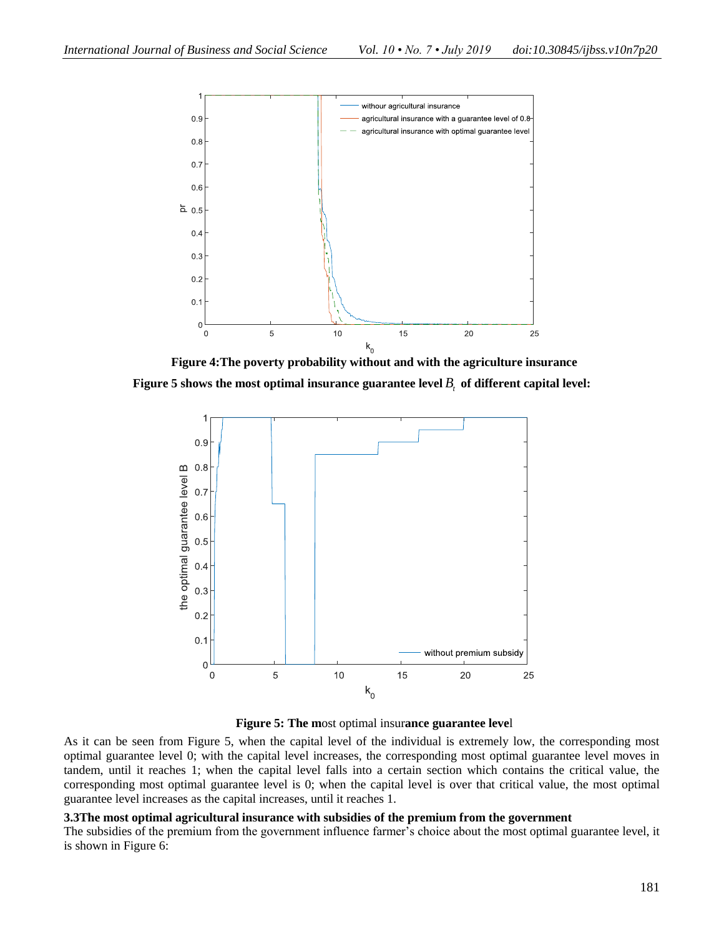

**Figure 4:The poverty probability without and with the agriculture insurance Figure 5 shows the most optimal insurance guarantee level** *Bt* **of different capital level:**



**Figure 5: The m**ost optimal insur**ance guarantee leve**l

As it can be seen from Figure 5, when the capital level of the individual is extremely low, the corresponding most optimal guarantee level 0; with the capital level increases, the corresponding most optimal guarantee level moves in tandem, until it reaches 1; when the capital level falls into a certain section which contains the critical value, the corresponding most optimal guarantee level is 0; when the capital level is over that critical value, the most optimal guarantee level increases as the capital increases, until it reaches 1.

### **3.3The most optimal agricultural insurance with subsidies of the premium from the government**

The subsidies of the premium from the government influence farmer's choice about the most optimal guarantee level, it is shown in Figure 6: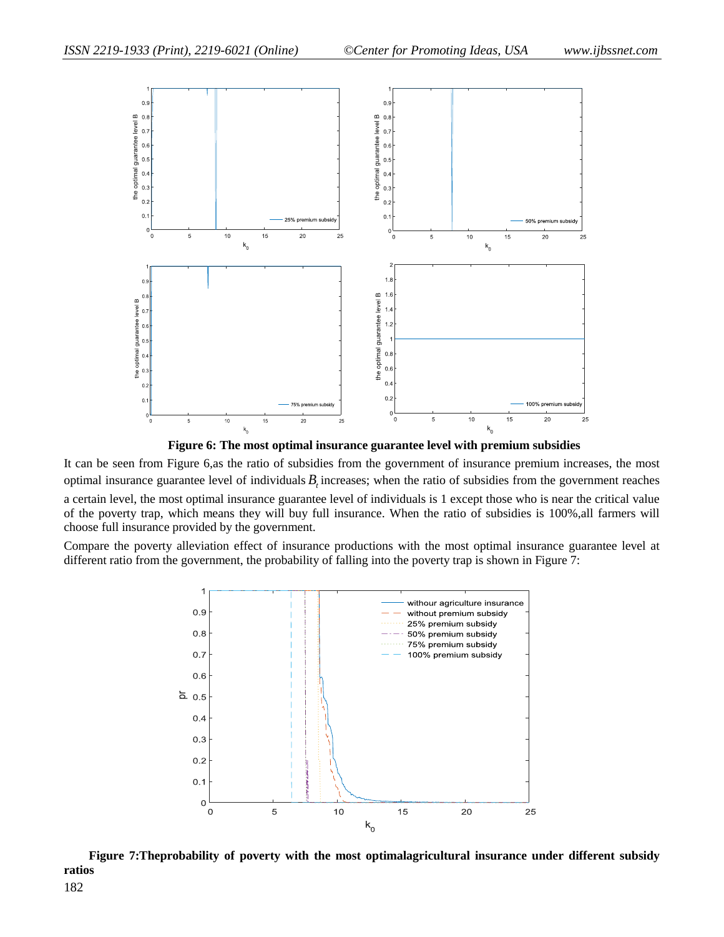

**Figure 6: The most optimal insurance guarantee level with premium subsidies**

It can be seen from Figure 6,as the ratio of subsidies from the government of insurance premium increases, the most optimal insurance guarantee level of individuals  $B<sub>t</sub>$  increases; when the ratio of subsidies from the government reaches a certain level, the most optimal insurance guarantee level of individuals is 1 except those who is near the critical value of the poverty trap, which means they will buy full insurance. When the ratio of subsidies is 100%,all farmers will choose full insurance provided by the government.

Compare the poverty alleviation effect of insurance productions with the most optimal insurance guarantee level at different ratio from the government, the probability of falling into the poverty trap is shown in Figure 7:



**Figure 7:Theprobability of poverty with the most optimalagricultural insurance under different subsidy ratios**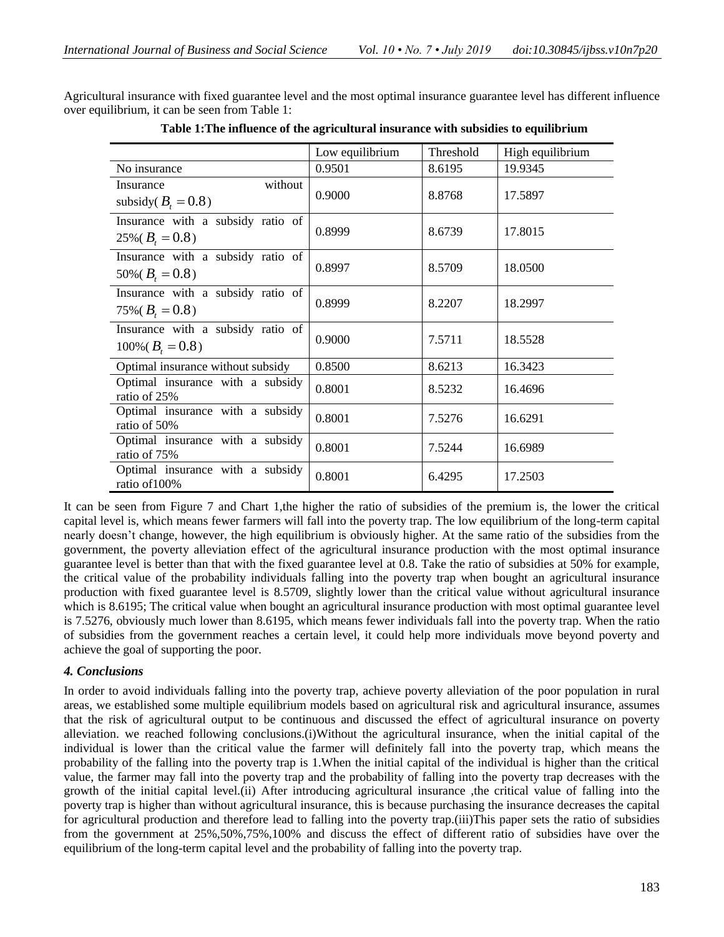Agricultural insurance with fixed guarantee level and the most optimal insurance guarantee level has different influence over equilibrium, it can be seen from Table 1:

|                                                              | Low equilibrium | Threshold | High equilibrium |
|--------------------------------------------------------------|-----------------|-----------|------------------|
| No insurance                                                 | 0.9501          | 8.6195    | 19.9345          |
| without<br>Insurance<br>subsidy( $B_t = 0.8$ )               | 0.9000          | 8.8768    | 17.5897          |
| Insurance with a subsidy ratio of<br>$25\% (B_t = 0.8)$      | 0.8999          | 8.6739    | 17.8015          |
| Insurance with a subsidy ratio of<br>$50\%$ ( $B_t = 0.8$ )  | 0.8997          | 8.5709    | 18.0500          |
| Insurance with a subsidy ratio of<br>$75\%$ ( $B_t = 0.8$ )  | 0.8999          | 8.2207    | 18.2997          |
| Insurance with a subsidy ratio of<br>$100\%$ ( $B_t = 0.8$ ) | 0.9000          | 7.5711    | 18.5528          |
| Optimal insurance without subsidy                            | 0.8500          | 8.6213    | 16.3423          |
| Optimal insurance with a subsidy<br>ratio of 25%             | 0.8001          | 8.5232    | 16.4696          |
| Optimal insurance with a subsidy<br>ratio of 50%             | 0.8001          | 7.5276    | 16.6291          |
| Optimal insurance with a subsidy<br>ratio of 75%             | 0.8001          | 7.5244    | 16.6989          |
| Optimal insurance with a subsidy<br>ratio of 100%            | 0.8001          | 6.4295    | 17.2503          |

**Table 1:The influence of the agricultural insurance with subsidies to equilibrium**

It can be seen from Figure 7 and Chart 1,the higher the ratio of subsidies of the premium is, the lower the critical capital level is, which means fewer farmers will fall into the poverty trap. The low equilibrium of the long-term capital nearly doesn't change, however, the high equilibrium is obviously higher. At the same ratio of the subsidies from the government, the poverty alleviation effect of the agricultural insurance production with the most optimal insurance guarantee level is better than that with the fixed guarantee level at 0.8. Take the ratio of subsidies at 50% for example, the critical value of the probability individuals falling into the poverty trap when bought an agricultural insurance production with fixed guarantee level is 8.5709, slightly lower than the critical value without agricultural insurance which is 8.6195; The critical value when bought an agricultural insurance production with most optimal guarantee level is 7.5276, obviously much lower than 8.6195, which means fewer individuals fall into the poverty trap. When the ratio of subsidies from the government reaches a certain level, it could help more individuals move beyond poverty and achieve the goal of supporting the poor.

### *4. Conclusions*

In order to avoid individuals falling into the poverty trap, achieve poverty alleviation of the poor population in rural areas, we established some multiple equilibrium models based on agricultural risk and agricultural insurance, assumes that the risk of agricultural output to be continuous and discussed the effect of agricultural insurance on poverty alleviation. we reached following conclusions.(i)Without the agricultural insurance, when the initial capital of the individual is lower than the critical value the farmer will definitely fall into the poverty trap, which means the probability of the falling into the poverty trap is 1.When the initial capital of the individual is higher than the critical value, the farmer may fall into the poverty trap and the probability of falling into the poverty trap decreases with the growth of the initial capital level.(ii) After introducing agricultural insurance ,the critical value of falling into the poverty trap is higher than without agricultural insurance, this is because purchasing the insurance decreases the capital for agricultural production and therefore lead to falling into the poverty trap.(iii)This paper sets the ratio of subsidies from the government at 25%,50%,75%,100% and discuss the effect of different ratio of subsidies have over the equilibrium of the long-term capital level and the probability of falling into the poverty trap.